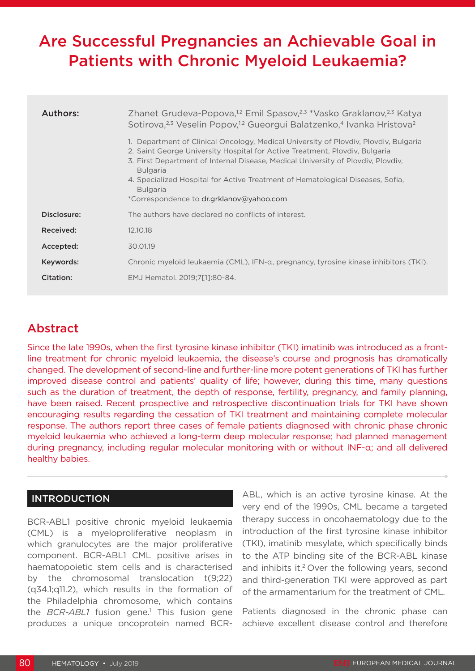# Are Successful Pregnancies an Achievable Goal in Patients with Chronic Myeloid Leukaemia?

| Authors:    | Zhanet Grudeva-Popova, <sup>1,2</sup> Emil Spasov, <sup>2,3</sup> *Vasko Graklanov, <sup>2,3</sup> Katya<br>Sotirova, <sup>2,3</sup> Veselin Popov, <sup>1,2</sup> Gueorgui Balatzenko, <sup>4</sup> Ivanka Hristova <sup>2</sup><br>1. Department of Clinical Oncology, Medical University of Plovdiv, Plovdiv, Bulgaria<br>2. Saint George University Hospital for Active Treatment, Ploydiy, Bulgaria<br>3. First Department of Internal Disease, Medical University of Plovdiv, Plovdiv,<br><b>Bulgaria</b><br>4. Specialized Hospital for Active Treatment of Hematological Diseases, Sofia,<br><b>Bulgaria</b><br>*Correspondence to dr.grklanov@yahoo.com |
|-------------|------------------------------------------------------------------------------------------------------------------------------------------------------------------------------------------------------------------------------------------------------------------------------------------------------------------------------------------------------------------------------------------------------------------------------------------------------------------------------------------------------------------------------------------------------------------------------------------------------------------------------------------------------------------|
| Disclosure: | The authors have declared no conflicts of interest.                                                                                                                                                                                                                                                                                                                                                                                                                                                                                                                                                                                                              |
| Received:   | 12.10.18                                                                                                                                                                                                                                                                                                                                                                                                                                                                                                                                                                                                                                                         |
| Accepted:   | 30.01.19                                                                                                                                                                                                                                                                                                                                                                                                                                                                                                                                                                                                                                                         |
| Keywords:   | Chronic myeloid leukaemia (CML), IFN-a, pregnancy, tyrosine kinase inhibitors (TKI).                                                                                                                                                                                                                                                                                                                                                                                                                                                                                                                                                                             |
| Citation:   | EMJ Hematol. 2019:7[11:80-84.                                                                                                                                                                                                                                                                                                                                                                                                                                                                                                                                                                                                                                    |

## Abstract

Since the late 1990s, when the first tyrosine kinase inhibitor (TKI) imatinib was introduced as a frontline treatment for chronic myeloid leukaemia, the disease's course and prognosis has dramatically changed. The development of second-line and further-line more potent generations of TKI has further improved disease control and patients' quality of life; however, during this time, many questions such as the duration of treatment, the depth of response, fertility, pregnancy, and family planning, have been raised. Recent prospective and retrospective discontinuation trials for TKI have shown encouraging results regarding the cessation of TKI treatment and maintaining complete molecular response. The authors report three cases of female patients diagnosed with chronic phase chronic myeloid leukaemia who achieved a long-term deep molecular response; had planned management during pregnancy, including regular molecular monitoring with or without INF-α; and all delivered healthy babies.

### INTRODUCTION

BCR-ABL1 positive chronic myeloid leukaemia (CML) is a myeloproliferative neoplasm in which granulocytes are the major proliferative component. BCR-ABL1 CML positive arises in haematopoietic stem cells and is characterised by the chromosomal translocation t(9;22) (q34.1;q11.2), which results in the formation of the Philadelphia chromosome, which contains the *BCR-ABL1* fusion gene.<sup>1</sup> This fusion gene produces a unique oncoprotein named BCR-

ABL, which is an active tyrosine kinase. At the very end of the 1990s, CML became a targeted therapy success in oncohaematology due to the introduction of the first tyrosine kinase inhibitor (TKI), imatinib mesylate, which specifically binds to the ATP binding site of the BCR-ABL kinase and inhibits it.<sup>2</sup> Over the following years, second and third-generation TKI were approved as part of the armamentarium for the treatment of CML.

Patients diagnosed in the chronic phase can achieve excellent disease control and therefore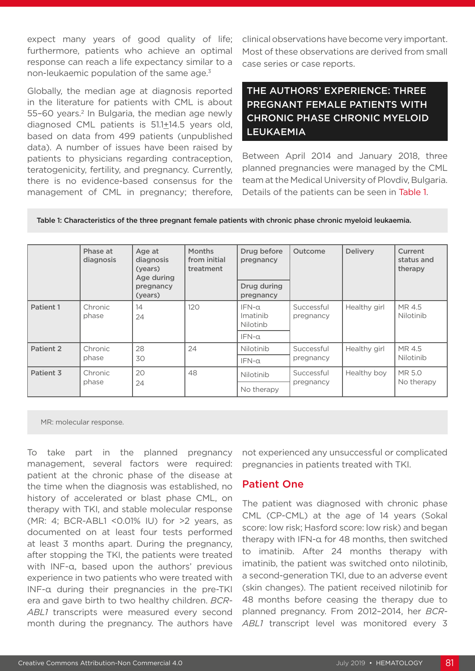expect many years of good quality of life; furthermore, patients who achieve an optimal response can reach a life expectancy similar to a non-leukaemic population of the same age.<sup>3</sup>

Globally, the median age at diagnosis reported in the literature for patients with CML is about 55–60 years.<sup>2</sup> In Bulgaria, the median age newly diagnosed CML patients is 51.1+14.5 years old, based on data from 499 patients (unpublished data). A number of issues have been raised by patients to physicians regarding contraception, teratogenicity, fertility, and pregnancy. Currently, there is no evidence-based consensus for the management of CML in pregnancy; therefore, clinical observations have become very important. Most of these observations are derived from small case series or case reports.

## THE AUTHORS' EXPERIENCE: THREE PREGNANT FEMALE PATIENTS WITH CHRONIC PHASE CHRONIC MYELOID LEUKAEMIA

Between April 2014 and January 2018, three planned pregnancies were managed by the CML team at the Medical University of Plovdiv, Bulgaria. Details of the patients can be seen in Table 1.

|           | Phase at<br>diagnosis | Age at<br>diagnosis<br>(years)<br>Age during<br>pregnancy<br>(years) | <b>Months</b><br>from initial<br>treatment | Drug before<br>pregnancy<br>Drug during<br>pregnancy | Outcome                 | <b>Delivery</b> | Current<br>status and<br>therapy |
|-----------|-----------------------|----------------------------------------------------------------------|--------------------------------------------|------------------------------------------------------|-------------------------|-----------------|----------------------------------|
| Patient 1 | Chronic<br>phase      | 14<br>24                                                             | 120                                        | $IFN-\alpha$<br>Imatinib<br><b>Nilotinb</b>          | Successful<br>pregnancy | Healthy girl    | MR 4.5<br>Nilotinib              |
|           |                       |                                                                      |                                            | $IFN-\alpha$                                         |                         |                 |                                  |
| Patient 2 | Chronic<br>phase      | 28<br>30                                                             | 24                                         | Nilotinib                                            | Successful<br>pregnancy | Healthy girl    | MR 4.5<br>Nilotinib              |
|           |                       |                                                                      |                                            | $IFN-\alpha$                                         |                         |                 |                                  |
| Patient 3 | Chronic<br>phase      | 20<br>24                                                             | 48                                         | Nilotinib                                            | Successful<br>pregnancy | Healthy boy     | MR 5.0<br>No therapy             |
|           |                       |                                                                      |                                            | No therapy                                           |                         |                 |                                  |

Table 1: Characteristics of the three pregnant female patients with chronic phase chronic myeloid leukaemia.

MR: molecular response.

To take part in the planned pregnancy management, several factors were required: patient at the chronic phase of the disease at the time when the diagnosis was established, no history of accelerated or blast phase CML, on therapy with TKI, and stable molecular response (MR: 4; BCR-ABL1 <0.01% IU) for >2 years, as documented on at least four tests performed at least 3 months apart. During the pregnancy, after stopping the TKI, the patients were treated with INF-α, based upon the authors' previous experience in two patients who were treated with INF-α during their pregnancies in the pre-TKI era and gave birth to two healthy children. *BCR-ABL1* transcripts were measured every second month during the pregnancy. The authors have

not experienced any unsuccessful or complicated pregnancies in patients treated with TKI.

### Patient One

The patient was diagnosed with chronic phase CML (CP-CML) at the age of 14 years (Sokal score: low risk; Hasford score: low risk) and began therapy with IFN-α for 48 months, then switched to imatinib. After 24 months therapy with imatinib, the patient was switched onto nilotinib, a second-generation TKI, due to an adverse event (skin changes). The patient received nilotinib for 48 months before ceasing the therapy due to planned pregnancy. From 2012–2014, her *BCR-ABL1* transcript level was monitored every 3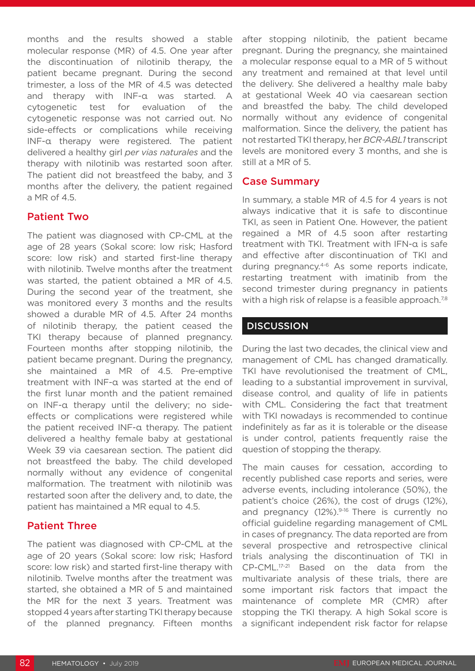months and the results showed a stable molecular response (MR) of 4.5. One year after the discontinuation of nilotinib therapy, the patient became pregnant. During the second trimester, a loss of the MR of 4.5 was detected and therapy with INF-α was started. A cytogenetic test for evaluation of the cytogenetic response was not carried out. No side-effects or complications while receiving INF-α therapy were registered. The patient delivered a healthy girl *per vias naturales* and the therapy with nilotinib was restarted soon after. The patient did not breastfeed the baby, and 3 months after the delivery, the patient regained a MR of 4.5.

#### Patient Two

The patient was diagnosed with CP-CML at the age of 28 years (Sokal score: low risk; Hasford score: low risk) and started first-line therapy with nilotinib. Twelve months after the treatment was started, the patient obtained a MR of 4.5. During the second year of the treatment, she was monitored every 3 months and the results showed a durable MR of 4.5. After 24 months of nilotinib therapy, the patient ceased the TKI therapy because of planned pregnancy. Fourteen months after stopping nilotinib, the patient became pregnant. During the pregnancy, she maintained a MR of 4.5. Pre-emptive treatment with INF-α was started at the end of the first lunar month and the patient remained on INF-α therapy until the delivery; no sideeffects or complications were registered while the patient received INF-α therapy. The patient delivered a healthy female baby at gestational Week 39 via caesarean section. The patient did not breastfeed the baby. The child developed normally without any evidence of congenital malformation. The treatment with nilotinib was restarted soon after the delivery and, to date, the patient has maintained a MR equal to 4.5.

#### Patient Three

The patient was diagnosed with CP-CML at the age of 20 years (Sokal score: low risk; Hasford score: low risk) and started first-line therapy with nilotinib. Twelve months after the treatment was started, she obtained a MR of 5 and maintained the MR for the next 3 years. Treatment was stopped 4 years after starting TKI therapy because of the planned pregnancy. Fifteen months

after stopping nilotinib, the patient became pregnant. During the pregnancy, she maintained a molecular response equal to a MR of 5 without any treatment and remained at that level until the delivery. She delivered a healthy male baby at gestational Week 40 via caesarean section and breastfed the baby. The child developed normally without any evidence of congenital malformation. Since the delivery, the patient has not restarted TKI therapy, her *BCR-ABL1* transcript levels are monitored every 3 months, and she is still at a MR of 5.

#### Case Summary

In summary, a stable MR of 4.5 for 4 years is not always indicative that it is safe to discontinue TKI, as seen in Patient One. However, the patient regained a MR of 4.5 soon after restarting treatment with TKI. Treatment with IFN-α is safe and effective after discontinuation of TKI and during pregnancy.4-6 As some reports indicate, restarting treatment with imatinib from the second trimester during pregnancy in patients with a high risk of relapse is a feasible approach.<sup>7,8</sup>

#### **DISCUSSION**

During the last two decades, the clinical view and management of CML has changed dramatically. TKI have revolutionised the treatment of CML, leading to a substantial improvement in survival, disease control, and quality of life in patients with CML. Considering the fact that treatment with TKI nowadays is recommended to continue indefinitely as far as it is tolerable or the disease is under control, patients frequently raise the question of stopping the therapy.

The main causes for cessation, according to recently published case reports and series, were adverse events, including intolerance (50%), the patient's choice (26%), the cost of drugs (12%), and pregnancy  $(12\%)$ <sup>9-16</sup> There is currently no official guideline regarding management of CML in cases of pregnancy. The data reported are from several prospective and retrospective clinical trials analysing the discontinuation of TKI in CP-CML.17-21 Based on the data from the multivariate analysis of these trials, there are some important risk factors that impact the maintenance of complete MR (CMR) after stopping the TKI therapy. A high Sokal score is a significant independent risk factor for relapse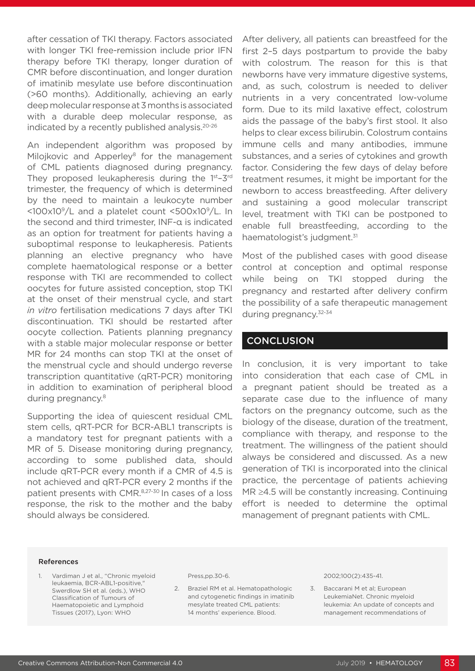after cessation of TKI therapy. Factors associated with longer TKI free-remission include prior IFN therapy before TKI therapy, longer duration of CMR before discontinuation, and longer duration of imatinib mesylate use before discontinuation (>60 months). Additionally, achieving an early deep molecular response at 3 months is associated with a durable deep molecular response, as indicated by a recently published analysis.20-26

An independent algorithm was proposed by Milojkovic and Apperley<sup>8</sup> for the management of CML patients diagnosed during pregnancy. They proposed leukapheresis during the 1<sup>st</sup>-3<sup>rd</sup> trimester, the frequency of which is determined by the need to maintain a leukocyte number <100x109/L and a platelet count <500x109/L. In the second and third trimester, INF-α is indicated as an option for treatment for patients having a suboptimal response to leukapheresis. Patients planning an elective pregnancy who have complete haematological response or a better response with TKI are recommended to collect oocytes for future assisted conception, stop TKI at the onset of their menstrual cycle, and start *in vitro* fertilisation medications 7 days after TKI discontinuation. TKI should be restarted after oocyte collection. Patients planning pregnancy with a stable major molecular response or better MR for 24 months can stop TKI at the onset of the menstrual cycle and should undergo reverse transcription quantitative (qRT-PCR) monitoring in addition to examination of peripheral blood during pregnancy.8

Supporting the idea of quiescent residual CML stem cells, qRT-PCR for BCR-ABL1 transcripts is a mandatory test for pregnant patients with a MR of 5. Disease monitoring during pregnancy, according to some published data, should include qRT-PCR every month if a CMR of 4.5 is not achieved and qRT-PCR every 2 months if the patient presents with CMR.8,27-30 In cases of a loss response, the risk to the mother and the baby should always be considered.

After delivery, all patients can breastfeed for the first 2–5 days postpartum to provide the baby with colostrum. The reason for this is that newborns have very immature digestive systems, and, as such, colostrum is needed to deliver nutrients in a very concentrated low-volume form. Due to its mild laxative effect, colostrum aids the passage of the baby's first stool. It also helps to clear excess bilirubin. Colostrum contains immune cells and many antibodies, immune substances, and a series of cytokines and growth factor. Considering the few days of delay before treatment resumes, it might be important for the newborn to access breastfeeding. After delivery and sustaining a good molecular transcript level, treatment with TKI can be postponed to enable full breastfeeding, according to the haematologist's judgment.<sup>31</sup>

Most of the published cases with good disease control at conception and optimal response while being on TKI stopped during the pregnancy and restarted after delivery confirm the possibility of a safe therapeutic management during pregnancy.32-34

#### **CONCLUSION**

In conclusion, it is very important to take into consideration that each case of CML in a pregnant patient should be treated as a separate case due to the influence of many factors on the pregnancy outcome, such as the biology of the disease, duration of the treatment, compliance with therapy, and response to the treatment. The willingness of the patient should always be considered and discussed. As a new generation of TKI is incorporated into the clinical practice, the percentage of patients achieving MR ≥4.5 will be constantly increasing. Continuing effort is needed to determine the optimal management of pregnant patients with CML.

#### References

1. Vardiman J et al., "Chronic myeloid leukaemia, BCR-ABL1-positive," Swerdlow SH et al. (eds.), WHO Classification of Tumours of Haematopoietic and Lymphoid Tissues (2017), Lyon: WHO

Press,pp.30-6.

2. Braziel RM et al. Hematopathologic and cytogenetic findings in imatinib mesylate treated CML patients: 14 months' experience. Blood.

2002;100(2):435-41.

3. Baccarani M et al; European LeukemiaNet. Chronic myeloid leukemia: An update of concepts and management recommendations of